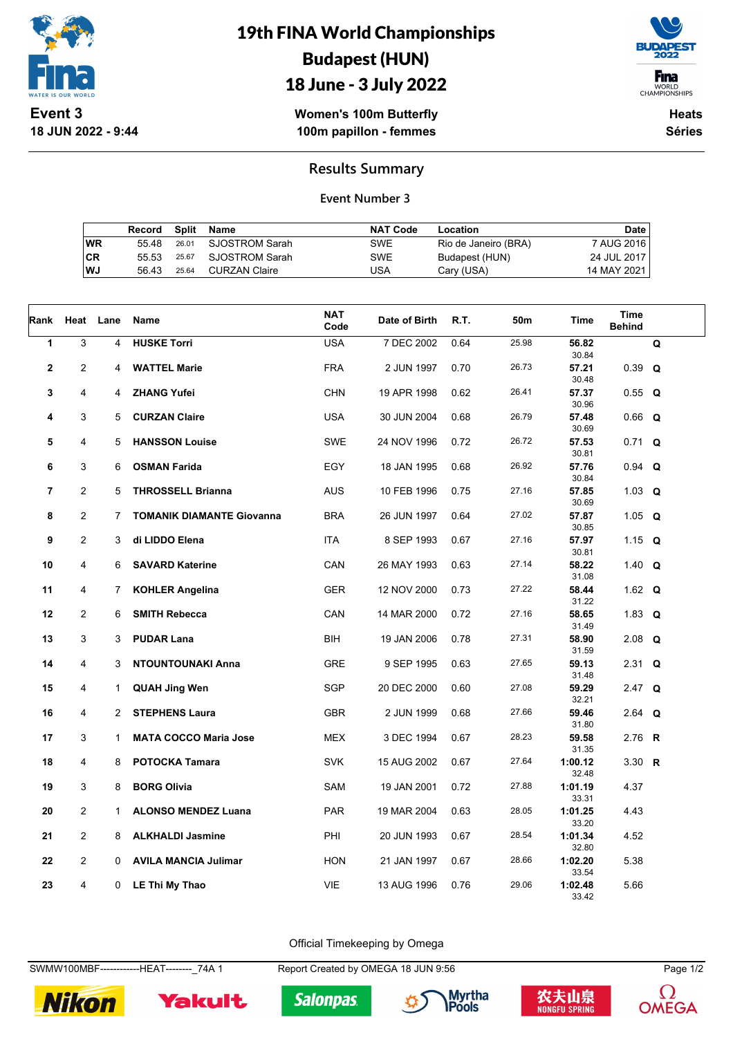

**18 JUN 2022 - 9:44**

19th FINA World Championships Budapest (HUN) 18 June - 3 July 2022



WORLD<br>CHAMPIONSHIPS

**Women's 100m Butterfly 100m papillon - femmes**

**Heats Séries**

## **Results Summary**

#### **Event Number 3**

|    | Record Split Name |       |                      | <b>NAT Code</b> | Location             | Date        |
|----|-------------------|-------|----------------------|-----------------|----------------------|-------------|
| WR | 55 48             |       | 26.01 SJOSTROM Sarah | SWE             | Rio de Janeiro (BRA) | 7 AUG 2016  |
| СR | 55 53             |       | 25.67 SJOSTROM Sarah | SWE             | Budapest (HUN)       | 24 JUL 2017 |
| WJ | 56.43             | 25.64 | CURZAN Claire        | USA             | Cary (USA)           | 14 MAY 2021 |

| Rank                    | Heat           | Lane                | Name                                             | <b>NAT</b><br>Code | Date of Birth              | R.T.         | 50m            | Time                      | Time<br><b>Behind</b> |             |
|-------------------------|----------------|---------------------|--------------------------------------------------|--------------------|----------------------------|--------------|----------------|---------------------------|-----------------------|-------------|
| $\mathbf{1}$            | 3              | 4                   | <b>HUSKE Torri</b>                               | <b>USA</b>         | 7 DEC 2002                 | 0.64         | 25.98          | 56.82<br>30.84            |                       | $\mathbf Q$ |
| $\overline{\mathbf{2}}$ | $\overline{2}$ | 4                   | <b>WATTEL Marie</b>                              | <b>FRA</b>         | 2 JUN 1997                 | 0.70         | 26.73          | 57.21<br>30.48            | $0.39$ Q              |             |
| 3                       | 4              | 4                   | <b>ZHANG Yufei</b>                               | <b>CHN</b>         | 19 APR 1998                | 0.62         | 26.41          | 57.37<br>30.96            | $0.55$ Q              |             |
| 4                       | 3              | 5                   | <b>CURZAN Claire</b>                             | <b>USA</b>         | 30 JUN 2004                | 0.68         | 26.79          | 57.48<br>30.69            | $0.66$ Q              |             |
| 5                       | 4              | 5                   | <b>HANSSON Louise</b>                            | <b>SWE</b>         | 24 NOV 1996                | 0.72         | 26.72          | 57.53<br>30.81            | $0.71 \t Q$           |             |
| 6                       | 3              | 6                   | <b>OSMAN Farida</b>                              | <b>EGY</b>         | 18 JAN 1995                | 0.68         | 26.92          | 57.76<br>30.84            | $0.94$ Q              |             |
| $\overline{7}$          | $\overline{2}$ | 5                   | <b>THROSSELL Brianna</b>                         | <b>AUS</b>         | 10 FEB 1996                | 0.75         | 27.16          | 57.85<br>30.69            | 1.03 $Q$              |             |
| 8                       | $\overline{2}$ | 7                   | <b>TOMANIK DIAMANTE Giovanna</b>                 | <b>BRA</b>         | 26 JUN 1997                | 0.64         | 27.02          | 57.87<br>30.85            | 1.05 $Q$              |             |
| 9                       | 2              | 3                   | di LIDDO Elena                                   | ITA                | 8 SEP 1993                 | 0.67         | 27.16<br>27.14 | 57.97<br>30.81            | 1.15 $Q$              |             |
| 10<br>11                | 4<br>4         | 6<br>$\overline{7}$ | <b>SAVARD Katerine</b><br><b>KOHLER Angelina</b> | CAN<br><b>GER</b>  | 26 MAY 1993<br>12 NOV 2000 | 0.63<br>0.73 | 27.22          | 58.22<br>31.08<br>58.44   | 1.40 $Q$<br>1.62 $Q$  |             |
| 12                      | $\overline{2}$ | 6                   | <b>SMITH Rebecca</b>                             | CAN                | 14 MAR 2000                | 0.72         | 27.16          | 31.22<br>58.65            | 1.83 $Q$              |             |
| 13                      | 3              | 3                   | <b>PUDAR Lana</b>                                | BIH                | 19 JAN 2006                | 0.78         | 27.31          | 31.49<br>58.90            | 2.08 $Q$              |             |
| 14                      | 4              | 3                   | <b>NTOUNTOUNAKI Anna</b>                         | <b>GRE</b>         | 9 SEP 1995                 | 0.63         | 27.65          | 31.59<br>59.13            | 2.31 Q                |             |
| 15                      | 4              | $\mathbf{1}$        | <b>QUAH Jing Wen</b>                             | SGP                | 20 DEC 2000                | 0.60         | 27.08          | 31.48<br>59.29            | 2.47 Q                |             |
| 16                      | 4              | $\overline{2}$      | <b>STEPHENS Laura</b>                            | <b>GBR</b>         | 2 JUN 1999                 | 0.68         | 27.66          | 32.21<br>59.46            | 2.64 Q                |             |
| 17                      | 3              | $\mathbf{1}$        | <b>MATA COCCO Maria Jose</b>                     | <b>MEX</b>         | 3 DEC 1994                 | 0.67         | 28.23          | 31.80<br>59.58            | 2.76 R                |             |
| 18                      | 4              | 8                   | <b>POTOCKA Tamara</b>                            | <b>SVK</b>         | 15 AUG 2002                | 0.67         | 27.64          | 31.35<br>1:00.12          | 3.30 $R$              |             |
| 19                      | 3              | 8                   | <b>BORG Olivia</b>                               | SAM                | 19 JAN 2001                | 0.72         | 27.88          | 32.48<br>1:01.19<br>33.31 | 4.37                  |             |
| 20                      | $\overline{2}$ | 1.                  | <b>ALONSO MENDEZ Luana</b>                       | PAR                | 19 MAR 2004                | 0.63         | 28.05          | 1:01.25<br>33.20          | 4.43                  |             |
| 21                      | $\overline{2}$ | 8                   | <b>ALKHALDI Jasmine</b>                          | PHI                | 20 JUN 1993                | 0.67         | 28.54          | 1:01.34<br>32.80          | 4.52                  |             |
| 22                      | $\overline{2}$ | 0                   | <b>AVILA MANCIA Julimar</b>                      | <b>HON</b>         | 21 JAN 1997                | 0.67         | 28.66          | 1:02.20<br>33.54          | 5.38                  |             |
| 23                      | 4              | 0                   | LE Thi My Thao                                   | <b>VIE</b>         | 13 AUG 1996                | 0.76         | 29.06          | 1:02.48<br>33.42          | 5.66                  |             |

Official Timekeeping by Omega

SWMW100MBF-------------HEAT--------\_74A 1 Report Created by OMEGA 18 JUN 9:56 Page 1/2





**Salonpas**